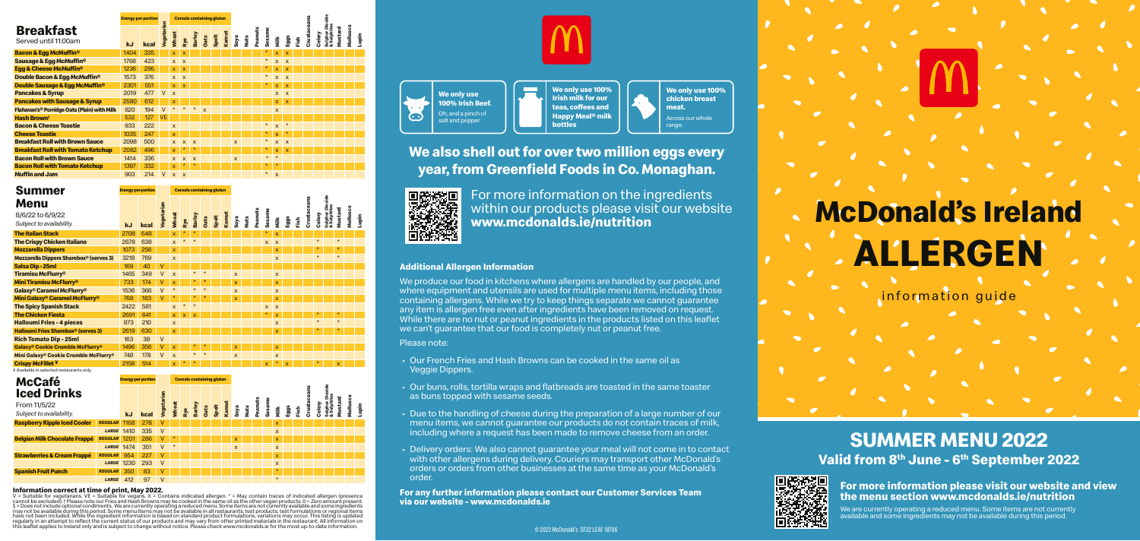**We only use 100% Irish Beef.** Oh, and a pinch of  $\odot$ salt and pepper.

information guide

# **ALLERGEN McDonald's Ireland**

| <b>kJ</b> | kcal |           | <b>Wheat</b>                                          | Rye                       | Barley                    | <b>Oats</b>  | Spelt | Kamut | Soya                             | Nuts | Peanuts | Sesame  | Nilk                      | Eggs                    | Fish | Crusta | Celery | Sulphur Dic<br>& Sulphites | Mustard | Molluscs | Lupin |
|-----------|------|-----------|-------------------------------------------------------|---------------------------|---------------------------|--------------|-------|-------|----------------------------------|------|---------|---------|---------------------------|-------------------------|------|--------|--------|----------------------------|---------|----------|-------|
| 1404      | 335  |           | X.                                                    | $\overline{\mathbf{x}}$   |                           |              |       |       |                                  |      |         | $\star$ | x                         | X                       |      |        |        |                            |         |          |       |
| 1768      | 423  |           | $\mathsf{x}$                                          | $\boldsymbol{\mathsf{x}}$ |                           |              |       |       |                                  |      |         | $\star$ | $\overline{\mathsf{x}}$   | $\mathsf{x}$            |      |        |        |                            |         |          |       |
| 1236      | 295  |           | X.                                                    | $\mathbf x$               |                           |              |       |       |                                  |      |         | $\star$ | X                         | $\mathsf{x}$            |      |        |        |                            |         |          |       |
| 1573      | 376  |           | $\mathsf{x}$                                          | $\mathsf{x}$              |                           |              |       |       |                                  |      |         | $\star$ | $\boldsymbol{\mathsf{x}}$ | $\mathsf{x}$            |      |        |        |                            |         |          |       |
| 2301      | 551  |           | X                                                     | $\overline{\mathsf{x}}$   |                           |              |       |       |                                  |      |         | ∗       | X                         | $\overline{\mathsf{x}}$ |      |        |        |                            |         |          |       |
| 2019      | 477  | $\vee$    | $\mathsf{x}$                                          |                           |                           |              |       |       |                                  |      |         |         | X                         | $\mathsf{x}$            |      |        |        |                            |         |          |       |
| 2580      | 612  |           | X                                                     |                           |                           |              |       |       |                                  |      |         |         | $\mathsf{x}$              | $\overline{\mathsf{x}}$ |      |        |        |                            |         |          |       |
| 820       | 194  | $\vee$    | $\star$                                               | $\star$                   | $\star$                   | $\mathsf{x}$ |       |       |                                  |      |         |         | $\mathsf{x}$              |                         |      |        |        |                            |         |          |       |
| 532       | 127  | <b>VE</b> |                                                       |                           |                           |              |       |       |                                  |      |         |         |                           |                         |      |        |        |                            |         |          |       |
| 933       | 222  |           | $\mathsf{x}$                                          |                           |                           |              |       |       |                                  |      |         | $\star$ | $\overline{\mathsf{x}}$   | $\star$                 |      |        |        |                            |         |          |       |
| 1035      | 247  |           | $\mathsf{x}$                                          |                           |                           |              |       |       |                                  |      |         | $\star$ | x                         | $\star$                 |      |        |        |                            |         |          |       |
| 2098      | 500  |           | $\mathsf{x}$                                          | $\mathsf{x}$              | $\mathsf{x}$              |              |       |       | $\boldsymbol{\mathsf{x}}$        |      |         | $\star$ | $\overline{\mathsf{x}}$   | $\overline{\mathsf{x}}$ |      |        |        |                            |         |          |       |
| 2082      | 496  |           | $\mathsf{x}$                                          | $\star$                   | $\ast$                    |              |       |       |                                  |      |         | *       | $\mathsf{x}$              | $\mathbf x$             |      |        |        |                            |         |          |       |
| 1414      | 336  |           | $\mathsf{x}$                                          | $\boldsymbol{\mathsf{x}}$ | $\boldsymbol{\mathsf{x}}$ |              |       |       | $\mathsf{x}$                     |      |         | $\star$ | $\star$                   |                         |      |        |        |                            |         |          |       |
| 1397      | 332  |           | X                                                     | 头                         |                           |              |       |       |                                  |      |         | $\star$ |                           |                         |      |        |        |                            |         |          |       |
| 903       | 214  | V         | $\mathbf{x}$                                          | $\boldsymbol{\mathsf{x}}$ |                           |              |       |       |                                  |      |         | $\star$ | $\boldsymbol{\mathsf{x}}$ |                         |      |        |        |                            |         |          |       |
|           |      |           | <b>Energy per portion</b><br><b><i>Jegetarian</i></b> |                           |                           |              |       |       | <b>Cereals containing gluten</b> |      |         |         |                           |                         |      |        |        |                            | Dioxid  |          |       |

# **SUMMER MENU 2022** Valid from 8<sup>th</sup> June - 6<sup>th</sup> September 2022



#### © 2022 McDonald's SF22 LEAF 18706

**We only use 100% Irish milk for our teas, coffees and Happy Meal® milk bottles**

**We only use 100% chicken breast meat.** Across our whole range.

## **We also shell out for over two million eggs every year, from Greenfield Foods in Co. Monaghan.**



 For more information on the ingredients within our products please visit our website **www.mcdonalds.ie/nutrition** 

## **Additional Allergen Information**

We produce our food in kitchens where allergens are handled by our people, and where equipment and utensils are used for multiple menu items, including those containing allergens. While we try to keep things separate we cannot guarantee any item is allergen free even after ingredients have been removed on request. While there are no nut or peanut ingredients in the products listed on this leaflet we can't guarantee that our food is completely nut or peanut free.

### Please note:

- Our French Fries and Hash Browns can be cooked in the same oil as Veggie Dippers.
- Our buns, rolls, tortilla wraps and flatbreads are toasted in the same toaster as buns topped with sesame seeds.
- Due to the handling of cheese during the preparation of a large number of our menu items, we cannot guarantee our products do not contain traces of milk, including where a request has been made to remove cheese from an order.
- Delivery orders: We also cannot guarantee your meal will not come in to contact with other allergens during delivery. Couriers may transport other McDonald's orders or orders from other businesses at the same time as your McDonald's order.

**For any further information please contact our Customer Services Team via our website - www.mcdonalds.ie**



**For more information please visit our website and view the menu section www.mcdonalds.ie/nutrition**

We are currently operating a reduced menu. Some items are not currently available and some ingredients may not be available during this period.

**McCafé Iced Drinks** From 11/5/22 *Subject to availability.* **Energy per portion Vegetarian Cereals containing gluten kJ kcal Wheat Rye Raspberry Ripple Iced Cooler** *REGULAR* 1168 278 V x

**Barley Oats Spelt Kamut Soya Nuts Peanuts Sesame Milk Eggs Fish Crustaceans Celery Sulphur Dioxide & Sulphites Mustard Molluscs Lupin**

**Information correct at time of print, May 2022.**<br>V = Suitable for vegetarians. VE = Suitable for vegans. X = Contains indicated allergen. \* = May contain traces of indicated allergen (presence<br>cannot be excluded).†Please § = Does not include optional condiments. We are currently operating a reduced menu. Some items are not currently available and some ingredients may not be available during this period. Some menu items may not be available in all restaurants; test products, test formulations or regional items have not been included. While the ingredient information is based on standard product formulations, variations may occur. This listing is updated regularly in an attempt to reflect the current status of our products and may vary from other printed materials in the restaurant. All information on<br>this leaflet applies to Ireland only and is subject to change without no



|                                                |                        |              | <b>LARGE 1410 335 V</b> |       |  |  |  |              |  | X                         |  |  |  |  |
|------------------------------------------------|------------------------|--------------|-------------------------|-------|--|--|--|--------------|--|---------------------------|--|--|--|--|
| Belgian Milk Chocolate Frappé REGULAR 1201 286 |                        |              |                         | $V^*$ |  |  |  | $\mathbf{x}$ |  | $\mathbf{x}$              |  |  |  |  |
|                                                |                        |              | LARGE 1474 351 V *      |       |  |  |  | $\mathsf{x}$ |  | $\boldsymbol{\mathsf{x}}$ |  |  |  |  |
| <b>Strawberries &amp; Cream Frappé</b>         | <b>REGULAR</b> 954 227 |              |                         | V     |  |  |  |              |  | $\mathbf{x}$              |  |  |  |  |
|                                                |                        |              | LARGE 1230 293 V        |       |  |  |  |              |  | $\boldsymbol{\mathsf{x}}$ |  |  |  |  |
| Spanish Fruit Punch                            | REGULAR 350 83         |              |                         | V     |  |  |  |              |  | $\star$                   |  |  |  |  |
|                                                |                        | LARGE 412 97 |                         | V     |  |  |  |              |  | $\star$                   |  |  |  |  |

| <b>Summer</b>                                               |           | <b>Energy per portion</b> |            |                           |              |                         |         | <b>Cereals containing gluten</b> |       |                         |             |         |              |              |      |                |             |         |                            |         |          |       |
|-------------------------------------------------------------|-----------|---------------------------|------------|---------------------------|--------------|-------------------------|---------|----------------------------------|-------|-------------------------|-------------|---------|--------------|--------------|------|----------------|-------------|---------|----------------------------|---------|----------|-------|
| Menu                                                        |           |                           |            |                           |              |                         |         |                                  |       |                         |             |         |              |              |      |                |             |         | Dioxide                    |         |          |       |
| 8/6/22 to 6/9/22<br>Subject to availability.                | <b>kJ</b> | kcal                      | Vegetarian | <b>Wheat</b>              | Rye          | <b>Barley</b>           | Oats    | Spelt                            | Kamut | Soya                    | <b>Nuts</b> | Peanuts | Sesame       | Milk         | Eggs | $\frac{6}{10}$ | Crustaceans | Celery  | Sulphur Dio<br>& Sulphites | Mustard | Molluscs | Lupin |
| <b>The Italian Stack</b>                                    | 2708      | 648                       |            | $\overline{\mathsf{x}}$   | $\star$      | $\star$                 |         |                                  |       |                         |             |         | $\star$      | X            |      |                |             |         |                            |         |          |       |
| <b>The Crispy Chicken Italiano</b>                          | 2678      | 638                       |            | $\overline{\mathsf{x}}$   | $\star$      | $\star$                 |         |                                  |       |                         |             |         | $\mathsf{x}$ | $\mathsf{x}$ |      |                |             | $\star$ |                            | $\star$ |          |       |
| <b>Mozzarella Dippers</b>                                   | 1073      | 256                       |            | $\overline{\mathsf{x}}$   |              |                         |         |                                  |       |                         |             |         |              | x            |      |                |             | ∗       |                            | 头       |          |       |
| <b>Mozzarella Dippers Sharebox® (serves 3)</b>              | 3218      | 769                       |            | $\mathsf{x}$              |              |                         |         |                                  |       |                         |             |         |              | $\mathsf{x}$ |      |                |             | $\star$ |                            | $\star$ |          |       |
| Salsa Dip-25ml                                              | 169       | 40                        | ٧          |                           |              |                         |         |                                  |       |                         |             |         |              |              |      |                |             |         |                            |         |          |       |
| Tiramisu McFlurry <sup>®</sup>                              | 1465      | 349                       | $\vee$     | $\boldsymbol{\mathsf{x}}$ |              | $\star$                 | $\star$ |                                  |       | $\mathsf{x}$            |             |         |              | $\mathsf{x}$ |      |                |             |         |                            |         |          |       |
| <b>Mini Tiramisu McFlurry®</b>                              | 733       | 174                       | V          | $\overline{\mathsf{x}}$   |              | $\star$                 | $\ast$  |                                  |       | $\mathsf{x}$            |             |         |              | X            |      |                |             |         |                            |         |          |       |
| Galaxy® Caramel McFlurry®                                   | 1536      | 366                       | $\vee$     | $\star$                   |              | $\star$                 | $\star$ |                                  |       | X                       |             |         |              | X            |      |                |             |         |                            |         |          |       |
| <b>Mini Galaxy<sup>®</sup> Caramel McFlurry<sup>®</sup></b> | 768       | 183                       | V          | $\star$                   |              | $\star$                 | $\star$ |                                  |       | $\overline{\mathsf{x}}$ |             |         |              | x            |      |                |             |         |                            |         |          |       |
| <b>The Spicy Spanish Stack</b>                              | 2422      | 581                       |            | $\mathbf{x}$              | $\star$      | $\star$                 |         |                                  |       |                         |             |         | X            | $\mathsf{x}$ |      |                |             |         |                            |         |          |       |
| <b>The Chicken Fiesta</b>                                   | 2691      | 641                       |            | $\mathsf{x}$              | $\mathsf{x}$ | $\overline{\mathsf{x}}$ |         |                                  |       |                         |             |         | $\ast$       | $\mathsf{x}$ |      |                |             | ∗       |                            | 头       |          |       |
| <b>Halloumi Fries - 4 pieces</b>                            | 873       | 210                       |            | $\mathsf{x}$              |              |                         |         |                                  |       |                         |             |         |              | $\mathsf{x}$ |      |                |             | $\star$ |                            | $\star$ |          |       |
| <b>Halloumi Fries Sharebox® (serves 3)</b>                  | 2619      | 630                       |            | $\overline{\mathbf{x}}$   |              |                         |         |                                  |       |                         |             |         |              | $\mathsf{x}$ |      |                |             | ÷       |                            | $\star$ |          |       |
| <b>Rich Tomato Dip - 25ml</b>                               | 163       | 38                        | $\vee$     |                           |              |                         |         |                                  |       |                         |             |         |              |              |      |                |             |         |                            |         |          |       |
| <b>Galaxy® Cookie Crumble McFlurry®</b>                     | 1496      | 356                       | ٧          | $\overline{\mathsf{x}}$   |              |                         | $\star$ |                                  |       | $\mathsf{x}$            |             |         |              | X.           |      |                |             |         |                            |         |          |       |
| Mini Galaxy® Cookie Crumble McFlurry®                       | 748       | 178                       | $\vee$     | $\overline{\mathsf{x}}$   |              | $\star$                 | $\star$ |                                  |       | X                       |             |         |              | X            |      |                |             |         |                            |         |          |       |
| <b>Crispy McFillet ¥</b>                                    | 2158      | 514                       |            | X                         |              |                         |         |                                  |       |                         |             |         | X            |              | X    |                |             |         |                            | X       |          |       |
| Y Available in selected restaurants only                    |           |                           |            |                           |              |                         |         |                                  |       |                         |             |         |              |              |      |                |             |         |                            |         |          |       |